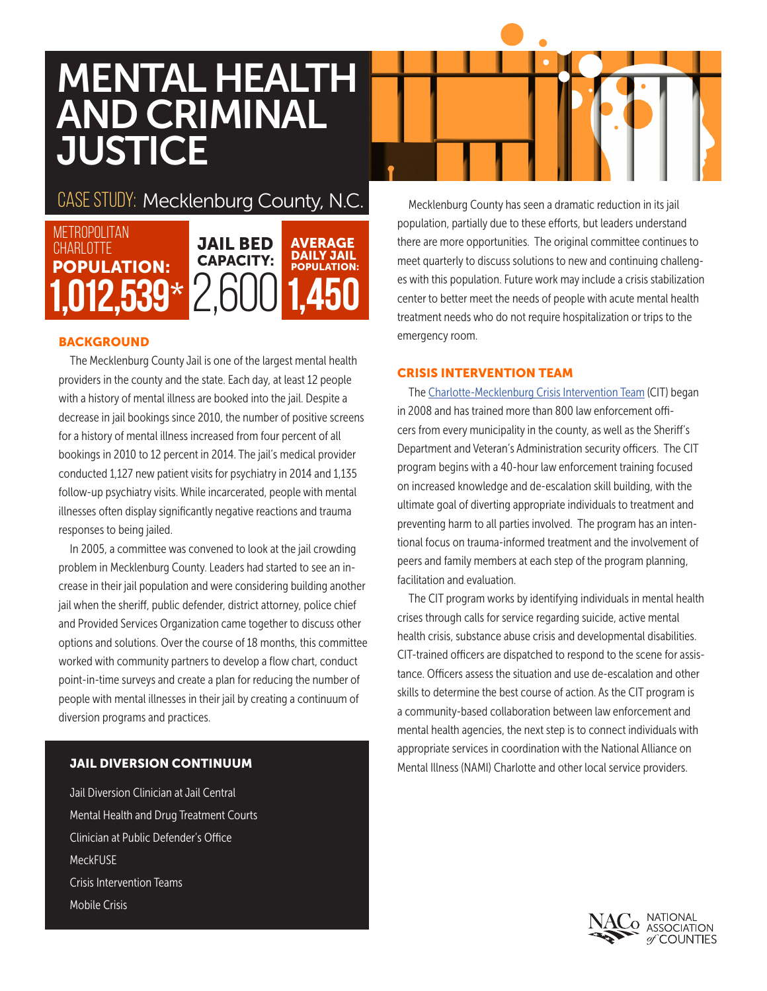# MENTAL HEALTH AND CRIMINAL **JUSTICE**

# CASE STUDY: Mecklenburg County, N.C.



# **BACKGROUND**

The Mecklenburg County Jail is one of the largest mental health providers in the county and the state. Each day, at least 12 people with a history of mental illness are booked into the jail. Despite a decrease in jail bookings since 2010, the number of positive screens for a history of mental illness increased from four percent of all bookings in 2010 to 12 percent in 2014. The jail's medical provider conducted 1,127 new patient visits for psychiatry in 2014 and 1,135 follow-up psychiatry visits. While incarcerated, people with mental illnesses often display significantly negative reactions and trauma responses to being jailed.

In 2005, a committee was convened to look at the jail crowding problem in Mecklenburg County. Leaders had started to see an increase in their jail population and were considering building another jail when the sheriff, public defender, district attorney, police chief and Provided Services Organization came together to discuss other options and solutions. Over the course of 18 months, this committee worked with community partners to develop a flow chart, conduct point-in-time surveys and create a plan for reducing the number of people with mental illnesses in their jail by creating a continuum of diversion programs and practices.

# JAIL DIVERSION CONTINUUM

Jail Diversion Clinician at Jail Central Mental Health and Drug Treatment Courts Clinician at Public Defender's Office **MeckFUSF** Crisis Intervention Teams Mobile Crisis

Mecklenburg County has seen a dramatic reduction in its jail population, partially due to these efforts, but leaders understand there are more opportunities. The original committee continues to meet quarterly to discuss solutions to new and continuing challenges with this population. Future work may include a crisis stabilization center to better meet the needs of people with acute mental health treatment needs who do not require hospitalization or trips to the emergency room.

#### CRISIS INTERVENTION TEAM

The Charlotte-Mecklenburg Crisis Intervention Team (CIT) began in 2008 and has trained more than 800 law enforcement officers from every municipality in the county, as well as the Sheriff's Department and Veteran's Administration security officers. The CIT program begins with a 40-hour law enforcement training focused on increased knowledge and de-escalation skill building, with the ultimate goal of diverting appropriate individuals to treatment and preventing harm to all parties involved. The program has an intentional focus on trauma-informed treatment and the involvement of peers and family members at each step of the program planning, facilitation and evaluation.

The CIT program works by identifying individuals in mental health crises through calls for service regarding suicide, active mental health crisis, substance abuse crisis and developmental disabilities. CIT-trained officers are dispatched to respond to the scene for assistance. Officers assess the situation and use de-escalation and other skills to determine the best course of action. As the CIT program is a community-based collaboration between law enforcement and mental health agencies, the next step is to connect individuals with appropriate services in coordination with the National Alliance on Mental Illness (NAMI) Charlotte and other local service providers.